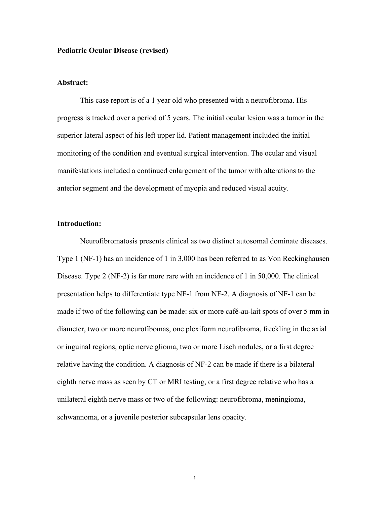# **Pediatric Ocular Disease (revised)**

## **Abstract:**

This case report is of a 1 year old who presented with a neurofibroma. His progress is tracked over a period of 5 years. The initial ocular lesion was a tumor in the superior lateral aspect of his left upper lid. Patient management included the initial monitoring of the condition and eventual surgical intervention. The ocular and visual manifestations included a continued enlargement of the tumor with alterations to the anterior segment and the development of myopia and reduced visual acuity.

#### **Introduction:**

Neurofibromatosis presents clinical as two distinct autosomal dominate diseases. Type 1 (NF-1) has an incidence of 1 in 3,000 has been referred to as Von Reckinghausen Disease. Type 2 (NF-2) is far more rare with an incidence of 1 in 50,000. The clinical presentation helps to differentiate type NF-1 from NF-2. A diagnosis of NF-1 can be made if two of the following can be made: six or more café-au-lait spots of over 5 mm in diameter, two or more neurofibomas, one plexiform neurofibroma, freckling in the axial or inguinal regions, optic nerve glioma, two or more Lisch nodules, or a first degree relative having the condition. A diagnosis of NF-2 can be made if there is a bilateral eighth nerve mass as seen by CT or MRI testing, or a first degree relative who has a unilateral eighth nerve mass or two of the following: neurofibroma, meningioma, schwannoma, or a juvenile posterior subcapsular lens opacity.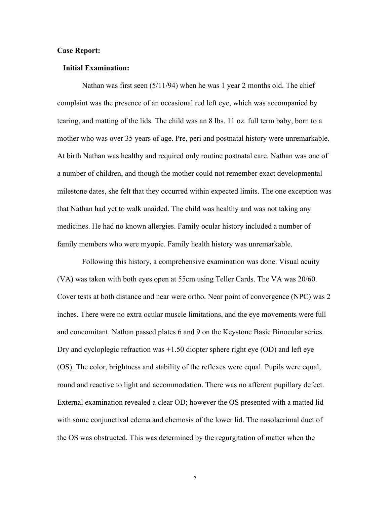# **Case Report:**

## **Initial Examination:**

Nathan was first seen (5/11/94) when he was 1 year 2 months old. The chief complaint was the presence of an occasional red left eye, which was accompanied by tearing, and matting of the lids. The child was an 8 lbs. 11 oz. full term baby, born to a mother who was over 35 years of age. Pre, peri and postnatal history were unremarkable. At birth Nathan was healthy and required only routine postnatal care. Nathan was one of a number of children, and though the mother could not remember exact developmental milestone dates, she felt that they occurred within expected limits. The one exception was that Nathan had yet to walk unaided. The child was healthy and was not taking any medicines. He had no known allergies. Family ocular history included a number of family members who were myopic. Family health history was unremarkable.

Following this history, a comprehensive examination was done. Visual acuity (VA) was taken with both eyes open at 55cm using Teller Cards. The VA was 20/60. Cover tests at both distance and near were ortho. Near point of convergence (NPC) was 2 inches. There were no extra ocular muscle limitations, and the eye movements were full and concomitant. Nathan passed plates 6 and 9 on the Keystone Basic Binocular series. Dry and cycloplegic refraction was +1.50 diopter sphere right eye (OD) and left eye (OS). The color, brightness and stability of the reflexes were equal. Pupils were equal, round and reactive to light and accommodation. There was no afferent pupillary defect. External examination revealed a clear OD; however the OS presented with a matted lid with some conjunctival edema and chemosis of the lower lid. The nasolacrimal duct of the OS was obstructed. This was determined by the regurgitation of matter when the

 $\gamma$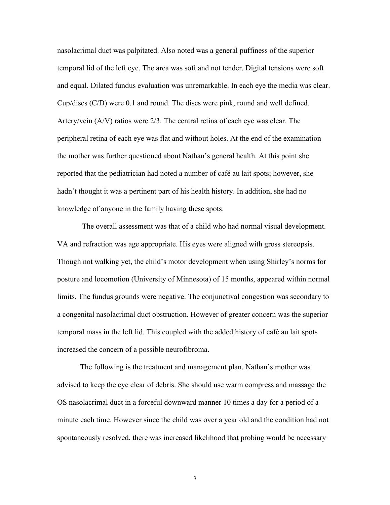nasolacrimal duct was palpitated. Also noted was a general puffiness of the superior temporal lid of the left eye. The area was soft and not tender. Digital tensions were soft and equal. Dilated fundus evaluation was unremarkable. In each eye the media was clear. Cup/discs (C/D) were 0.1 and round. The discs were pink, round and well defined. Artery/vein (A/V) ratios were 2/3. The central retina of each eye was clear. The peripheral retina of each eye was flat and without holes. At the end of the examination the mother was further questioned about Nathan's general health. At this point she reported that the pediatrician had noted a number of café au lait spots; however, she hadn't thought it was a pertinent part of his health history. In addition, she had no knowledge of anyone in the family having these spots.

The overall assessment was that of a child who had normal visual development. VA and refraction was age appropriate. His eyes were aligned with gross stereopsis. Though not walking yet, the child's motor development when using Shirley's norms for posture and locomotion (University of Minnesota) of 15 months, appeared within normal limits. The fundus grounds were negative. The conjunctival congestion was secondary to a congenital nasolacrimal duct obstruction. However of greater concern was the superior temporal mass in the left lid. This coupled with the added history of café au lait spots increased the concern of a possible neurofibroma.

The following is the treatment and management plan. Nathan's mother was advised to keep the eye clear of debris. She should use warm compress and massage the OS nasolacrimal duct in a forceful downward manner 10 times a day for a period of a minute each time. However since the child was over a year old and the condition had not spontaneously resolved, there was increased likelihood that probing would be necessary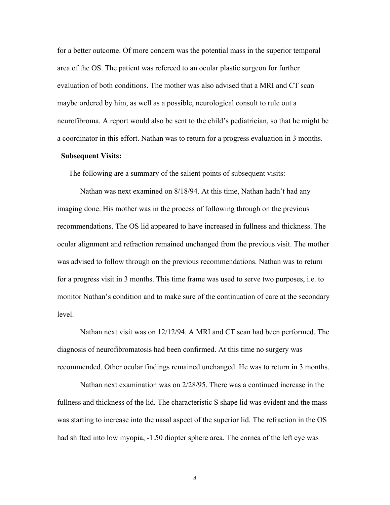for a better outcome. Of more concern was the potential mass in the superior temporal area of the OS. The patient was refereed to an ocular plastic surgeon for further evaluation of both conditions. The mother was also advised that a MRI and CT scan maybe ordered by him, as well as a possible, neurological consult to rule out a neurofibroma. A report would also be sent to the child's pediatrician, so that he might be a coordinator in this effort. Nathan was to return for a progress evaluation in 3 months.

# **Subsequent Visits:**

The following are a summary of the salient points of subsequent visits:

Nathan was next examined on 8/18/94. At this time, Nathan hadn't had any imaging done. His mother was in the process of following through on the previous recommendations. The OS lid appeared to have increased in fullness and thickness. The ocular alignment and refraction remained unchanged from the previous visit. The mother was advised to follow through on the previous recommendations. Nathan was to return for a progress visit in 3 months. This time frame was used to serve two purposes, i.e. to monitor Nathan's condition and to make sure of the continuation of care at the secondary level.

Nathan next visit was on 12/12/94. A MRI and CT scan had been performed. The diagnosis of neurofibromatosis had been confirmed. At this time no surgery was recommended. Other ocular findings remained unchanged. He was to return in 3 months.

Nathan next examination was on 2/28/95. There was a continued increase in the fullness and thickness of the lid. The characteristic S shape lid was evident and the mass was starting to increase into the nasal aspect of the superior lid. The refraction in the OS had shifted into low myopia, -1.50 diopter sphere area. The cornea of the left eye was

 $\varDelta$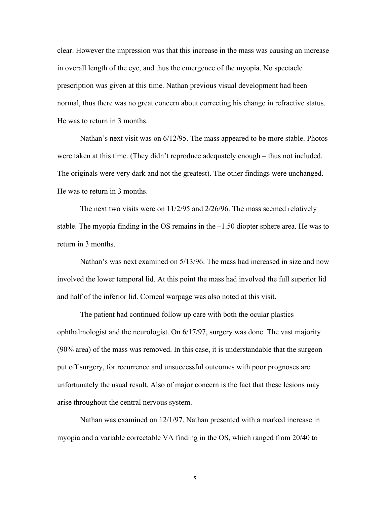clear. However the impression was that this increase in the mass was causing an increase in overall length of the eye, and thus the emergence of the myopia. No spectacle prescription was given at this time. Nathan previous visual development had been normal, thus there was no great concern about correcting his change in refractive status. He was to return in 3 months.

Nathan's next visit was on 6/12/95. The mass appeared to be more stable. Photos were taken at this time. (They didn't reproduce adequately enough – thus not included. The originals were very dark and not the greatest). The other findings were unchanged. He was to return in 3 months.

The next two visits were on 11/2/95 and 2/26/96. The mass seemed relatively stable. The myopia finding in the OS remains in the –1.50 diopter sphere area. He was to return in 3 months.

Nathan's was next examined on 5/13/96. The mass had increased in size and now involved the lower temporal lid. At this point the mass had involved the full superior lid and half of the inferior lid. Corneal warpage was also noted at this visit.

The patient had continued follow up care with both the ocular plastics ophthalmologist and the neurologist. On 6/17/97, surgery was done. The vast majority (90% area) of the mass was removed. In this case, it is understandable that the surgeon put off surgery, for recurrence and unsuccessful outcomes with poor prognoses are unfortunately the usual result. Also of major concern is the fact that these lesions may arise throughout the central nervous system.

Nathan was examined on 12/1/97. Nathan presented with a marked increase in myopia and a variable correctable VA finding in the OS, which ranged from 20/40 to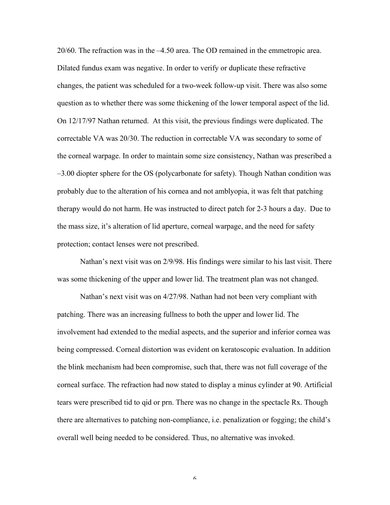20/60. The refraction was in the –4.50 area. The OD remained in the emmetropic area. Dilated fundus exam was negative. In order to verify or duplicate these refractive changes, the patient was scheduled for a two-week follow-up visit. There was also some question as to whether there was some thickening of the lower temporal aspect of the lid. On 12/17/97 Nathan returned. At this visit, the previous findings were duplicated. The correctable VA was 20/30. The reduction in correctable VA was secondary to some of the corneal warpage. In order to maintain some size consistency, Nathan was prescribed a –3.00 diopter sphere for the OS (polycarbonate for safety). Though Nathan condition was probably due to the alteration of his cornea and not amblyopia, it was felt that patching therapy would do not harm. He was instructed to direct patch for 2-3 hours a day. Due to the mass size, it's alteration of lid aperture, corneal warpage, and the need for safety protection; contact lenses were not prescribed.

Nathan's next visit was on 2/9/98. His findings were similar to his last visit. There was some thickening of the upper and lower lid. The treatment plan was not changed.

Nathan's next visit was on 4/27/98. Nathan had not been very compliant with patching. There was an increasing fullness to both the upper and lower lid. The involvement had extended to the medial aspects, and the superior and inferior cornea was being compressed. Corneal distortion was evident on keratoscopic evaluation. In addition the blink mechanism had been compromise, such that, there was not full coverage of the corneal surface. The refraction had now stated to display a minus cylinder at 90. Artificial tears were prescribed tid to qid or prn. There was no change in the spectacle Rx. Though there are alternatives to patching non-compliance, i.e. penalization or fogging; the child's overall well being needed to be considered. Thus, no alternative was invoked.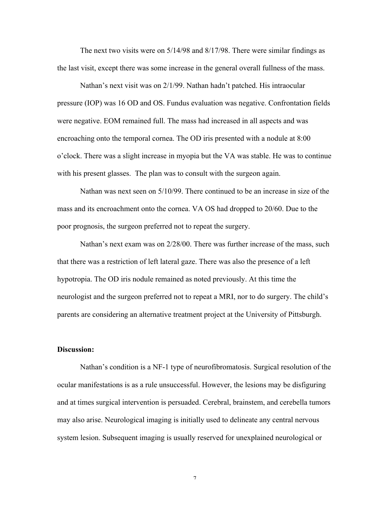The next two visits were on 5/14/98 and 8/17/98. There were similar findings as the last visit, except there was some increase in the general overall fullness of the mass.

Nathan's next visit was on 2/1/99. Nathan hadn't patched. His intraocular pressure (IOP) was 16 OD and OS. Fundus evaluation was negative. Confrontation fields were negative. EOM remained full. The mass had increased in all aspects and was encroaching onto the temporal cornea. The OD iris presented with a nodule at 8:00 o'clock. There was a slight increase in myopia but the VA was stable. He was to continue with his present glasses. The plan was to consult with the surgeon again.

Nathan was next seen on 5/10/99. There continued to be an increase in size of the mass and its encroachment onto the cornea. VA OS had dropped to 20/60. Due to the poor prognosis, the surgeon preferred not to repeat the surgery.

Nathan's next exam was on 2/28/00. There was further increase of the mass, such that there was a restriction of left lateral gaze. There was also the presence of a left hypotropia. The OD iris nodule remained as noted previously. At this time the neurologist and the surgeon preferred not to repeat a MRI, nor to do surgery. The child's parents are considering an alternative treatment project at the University of Pittsburgh.

# **Discussion:**

Nathan's condition is a NF-1 type of neurofibromatosis. Surgical resolution of the ocular manifestations is as a rule unsuccessful. However, the lesions may be disfiguring and at times surgical intervention is persuaded. Cerebral, brainstem, and cerebella tumors may also arise. Neurological imaging is initially used to delineate any central nervous system lesion. Subsequent imaging is usually reserved for unexplained neurological or